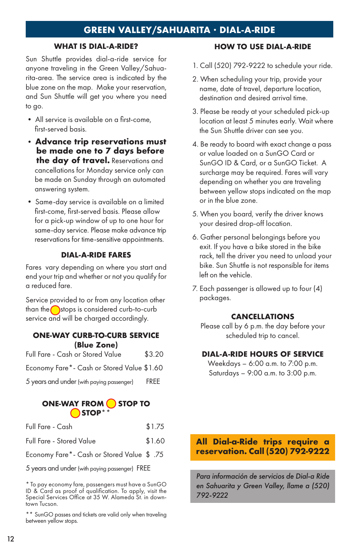# **GREEN VALLEY/SAHUARITA · DIAL-A-RIDE**

## **WHAT IS DIAL-A-RIDE?**

Sun Shuttle provides dial-a-ride service for anyone traveling in the Green Valley/Sahuarita-area. The service area is indicated by the blue zone on the map. Make your reservation, and Sun Shuttle will get you where you need to go.

- All service is available on a first-come, first-served basis.
- **Advance trip reservations must be made one to 7 days before the day of travel.** Reservations and cancellations for Monday service only can be made on Sunday through an automated answering system.
- Same-day service is available on a limited first-come, first-served basis. Please allow for a pick-up window of up to one hour for same-day service. Please make advance trip reservations for time-sensitive appointments.

#### **DIAL-A-RIDE FARES**

Fares vary depending on where you start and end your trip and whether or not you qualify for a reduced fare.

Service provided to or from any location other than the stops is considered curb-to-curb service and will be charged accordingly.

#### **ONE-WAY CURB-TO-CURB SERVICE (Blue Zone)**

| Full Fare - Cash or Stored Value           | \$3.20      |
|--------------------------------------------|-------------|
| Economy Fare*- Cash or Stored Value \$1.60 |             |
| 5 years and under (with paying passenger)  | <b>FREE</b> |
|                                            |             |

## **ONE-WAY FROM STOP TO STOP\*\***

| Full Fare - Stored Value |  |  |  | \$1.60 |
|--------------------------|--|--|--|--------|
| Full Fare - Cash         |  |  |  | \$1.75 |

Economy Fare\*- Cash or Stored Value \$ .75

5 years and under (with paying passenger) FREE

\* To pay economy fare, passengers must have a SunGO ID & Card as proof of qualification. To apply, visit the Special Services Office at 35 W. Alameda St. in down- town Tucson.

\*\* SunGO passes and tickets are valid only when traveling between yellow stops.

### **HOW TO USE DIAL-A-RIDE**

- 1. Call (520) 792-9222 to schedule your ride.
- 2. When scheduling your trip, provide your name, date of travel, departure location, destination and desired arrival time.
- 3. Please be ready at your scheduled pick-up location at least 5 minutes early. Wait where the Sun Shuttle driver can see you.
- 4. Be ready to board with exact change a pass or value loaded on a SunGO Card or SunGO ID & Card, or a SunGO Ticket. A surcharge may be required. Fares will vary depending on whether you are traveling between yellow stops indicated on the map or in the blue zone.
- 5. When you board, verify the driver knows your desired drop-off location.
- 6. Gather personal belongings before you exit. If you have a bike stored in the bike rack, tell the driver you need to unload your bike. Sun Shuttle is not responsible for items left on the vehicle.
- 7. Each passenger is allowed up to four (4) packages.

#### **CANCELLATIONS**

Please call by 6 p.m. the day before your scheduled trip to cancel.

#### **DIAL-A-RIDE HOURS OF SERVICE**

Weekdays – 6:00 a.m. to 7:00 p.m. Saturdays – 9:00 a.m. to 3:00 p.m.

## **All Dial-a-Ride trips require a reservation. Call (520) 792-9222**

*Para información de servicios de Dial-a Ride en Sahuarita y Green Valley, llame a (520) 792-9222*